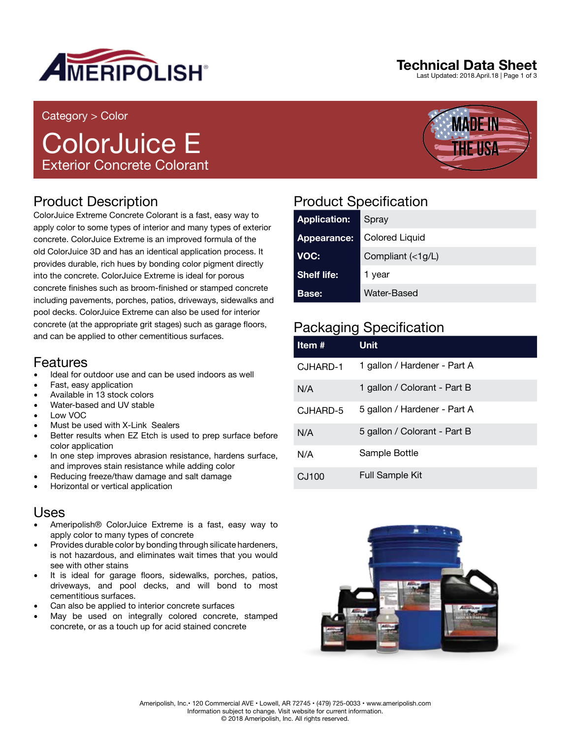

#### Category > Color

# ColorJuice E Exterior Concrete Colorant

## Product Description

ColorJuice Extreme Concrete Colorant is a fast, easy way to apply color to some types of interior and many types of exterior concrete. ColorJuice Extreme is an improved formula of the old ColorJuice 3D and has an identical application process. It provides durable, rich hues by bonding color pigment directly into the concrete. ColorJuice Extreme is ideal for porous concrete finishes such as broom-finished or stamped concrete including pavements, porches, patios, driveways, sidewalks and pool decks. ColorJuice Extreme can also be used for interior concrete (at the appropriate grit stages) such as garage floors, and can be applied to other cementitious surfaces.

### Features

- Ideal for outdoor use and can be used indoors as well
- Fast, easy application
- Available in 13 stock colors
- Water-based and UV stable
- Low VOC
- Must be used with X-Link Sealers
- Better results when EZ Etch is used to prep surface before color application
- In one step improves abrasion resistance, hardens surface, and improves stain resistance while adding color
- Reducing freeze/thaw damage and salt damage
- Horizontal or vertical application

### Uses

- Ameripolish® ColorJuice Extreme is a fast, easy way to apply color to many types of concrete
- Provides durable color by bonding through silicate hardeners, is not hazardous, and eliminates wait times that you would see with other stains
- It is ideal for garage floors, sidewalks, porches, patios, driveways, and pool decks, and will bond to most cementitious surfaces.
- Can also be applied to interior concrete surfaces
- May be used on integrally colored concrete, stamped concrete, or as a touch up for acid stained concrete

## Product Specification

| <b>Application:</b> | Spray             |
|---------------------|-------------------|
| Appearance:         | Colored Liquid    |
| VOC:                | Compliant (<1g/L) |
| <b>Shelf life:</b>  | 1 year            |
| <b>Base:</b>        | Water-Based       |

## Packaging Specification

| Item #   | Unit                         |
|----------|------------------------------|
| CJHARD-1 | 1 gallon / Hardener - Part A |
| N/A      | 1 gallon / Colorant - Part B |
| CJHARD-5 | 5 gallon / Hardener - Part A |
| N/A      | 5 gallon / Colorant - Part B |
| N/A      | Sample Bottle                |
| CJ100    | <b>Full Sample Kit</b>       |





**MADE IN**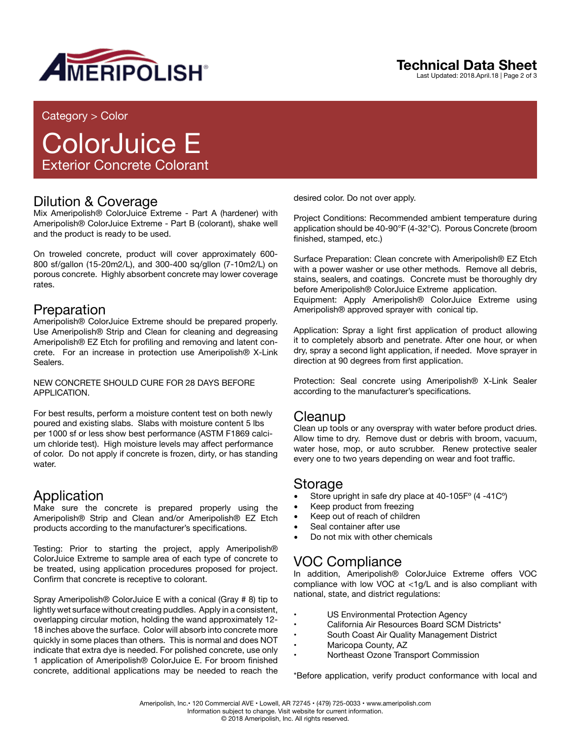

## **Technical Data Sheet**

Last Updated: 2018.April.18 | Page 2 of 3

#### Category > Color

# ColorJuice E Exterior Concrete Colorant

#### Dilution & Coverage

Mix Ameripolish® ColorJuice Extreme - Part A (hardener) with Ameripolish® ColorJuice Extreme - Part B (colorant), shake well and the product is ready to be used.

On troweled concrete, product will cover approximately 600- 800 sf/gallon (15-20m2/L), and 300-400 sq/gllon (7-10m2/L) on porous concrete. Highly absorbent concrete may lower coverage rates.

#### Preparation

Ameripolish® ColorJuice Extreme should be prepared properly. Use Ameripolish® Strip and Clean for cleaning and degreasing Ameripolish® EZ Etch for profiling and removing and latent concrete. For an increase in protection use Ameripolish® X-Link Sealers.

NEW CONCRETE SHOULD CURE FOR 28 DAYS BEFORE APPLICATION.

For best results, perform a moisture content test on both newly poured and existing slabs. Slabs with moisture content 5 lbs per 1000 sf or less show best performance (ASTM F1869 calcium chloride test). High moisture levels may affect performance of color. Do not apply if concrete is frozen, dirty, or has standing water

### Application

Make sure the concrete is prepared properly using the Ameripolish® Strip and Clean and/or Ameripolish® EZ Etch products according to the manufacturer's specifications.

Testing: Prior to starting the project, apply Ameripolish® ColorJuice Extreme to sample area of each type of concrete to be treated, using application procedures proposed for project. Confirm that concrete is receptive to colorant.

Spray Ameripolish® ColorJuice E with a conical (Gray # 8) tip to lightly wet surface without creating puddles. Apply in a consistent, overlapping circular motion, holding the wand approximately 12- 18 inches above the surface. Color will absorb into concrete more quickly in some places than others. This is normal and does NOT indicate that extra dye is needed. For polished concrete, use only 1 application of Ameripolish® ColorJuice E. For broom finished concrete, additional applications may be needed to reach the desired color. Do not over apply.

Project Conditions: Recommended ambient temperature during application should be 40-90°F (4-32°C). Porous Concrete (broom finished, stamped, etc.)

Surface Preparation: Clean concrete with Ameripolish® EZ Etch with a power washer or use other methods. Remove all debris, stains, sealers, and coatings. Concrete must be thoroughly dry before Ameripolish® ColorJuice Extreme application. Equipment: Apply Ameripolish® ColorJuice Extreme using Ameripolish® approved sprayer with conical tip.

Application: Spray a light first application of product allowing it to completely absorb and penetrate. After one hour, or when dry, spray a second light application, if needed. Move sprayer in direction at 90 degrees from first application.

Protection: Seal concrete using Ameripolish® X-Link Sealer according to the manufacturer's specifications.

#### Cleanup

Clean up tools or any overspray with water before product dries. Allow time to dry. Remove dust or debris with broom, vacuum, water hose, mop, or auto scrubber. Renew protective sealer every one to two years depending on wear and foot traffic.

#### Storage

- Store upright in safe dry place at 40-105F° (4 -41C°)
- Keep product from freezing
- Keep out of reach of children
- Seal container after use
- Do not mix with other chemicals

### VOC Compliance

In addition, Ameripolish® ColorJuice Extreme offers VOC compliance with low VOC at <1g/L and is also compliant with national, state, and district regulations:

- US Environmental Protection Agency
- California Air Resources Board SCM Districts\*
- South Coast Air Quality Management District<br>• Maricopa County AZ
- Maricopa County, AZ
- Northeast Ozone Transport Commission

\*Before application, verify product conformance with local and